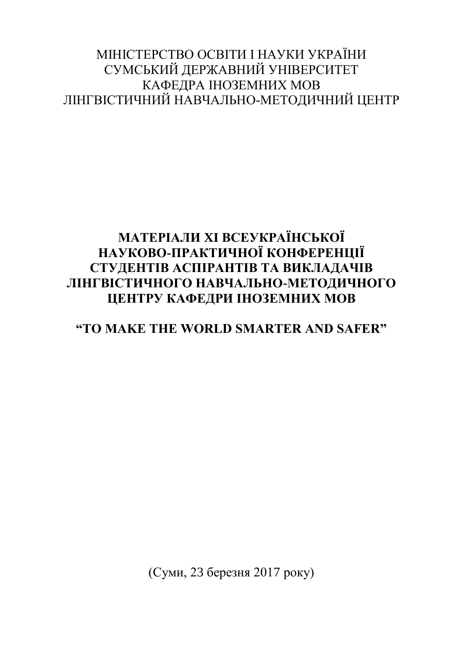### МІНІСТЕРСТВО ОСВІТИ І НАУКИ УКРАЇНИ СУМСЬКИЙ ДЕРЖАВНИЙ УНІВЕРСИТЕТ КАФЕДРА ІНОЗЕМНИХ МОВ ЛІНГВІСТИЧНИЙ НАВЧАЛЬНО-МЕТОДИЧНИЙ ЦЕНТР

# **МАТЕРІАЛИ XI ВСЕУКРАЇНСЬКОЇ НАУКОВО-ПРАКТИЧНОЇ КОНФЕРЕНЦІЇ СТУДЕНТІВ АСПІРАНТІВ ТА ВИКЛАДАЧІВ ЛІНГВІСТИЧНОГО НАВЧАЛЬНО-МЕТОДИЧНОГО ЦЕНТРУ КАФЕДРИ ІНОЗЕМНИХ МОВ**

# **"TO MAKE THE WORLD SMARTER AND SAFER"**

(Суми, 23 березня 2017 року)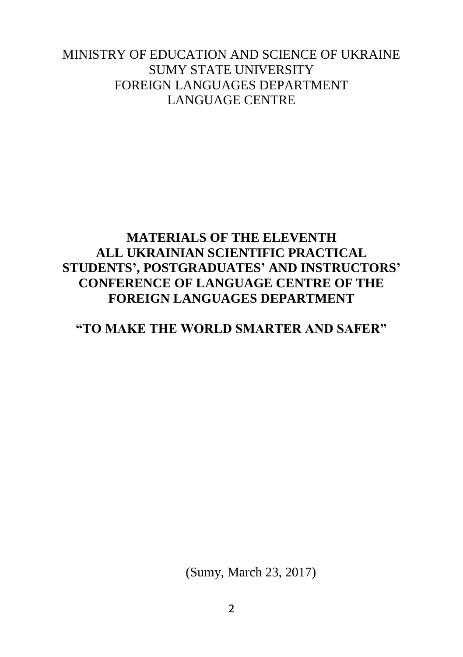#### MINISTRY OF EDUCATION AND SCIENCE OF UKRAINE SUMY STATE UNIVERSITY FOREIGN LANGUAGES DEPARTMENT LANGUAGE CENTRE

## **MATERIALS OF THE ELEVENTH ALL UKRAINIAN SCIENTIFIC PRACTICAL STUDENTS', POSTGRADUATES' AND INSTRUCTORS' CONFERENCE OF LANGUAGE CENTRE OF THE FOREIGN LANGUAGES DEPARTMENT**

#### **"TO MAKE THE WORLD SMARTER AND SAFER"**

(Sumy, March 23, 2017)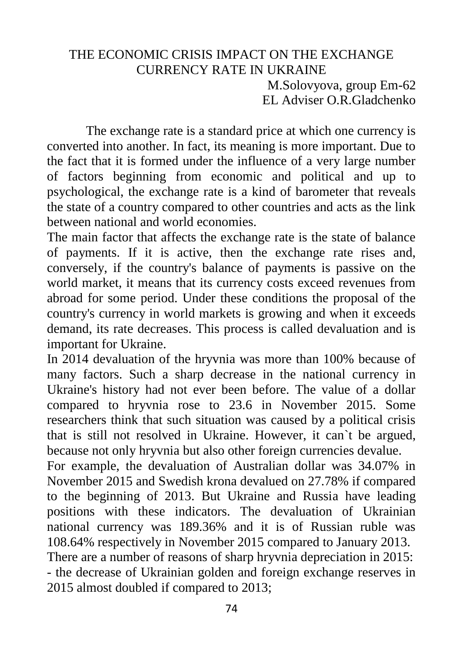### THE ECONOMIC CRISIS IMPACT ON THE EXCHANGE CURRENCY RATE IN UKRAINE M.Solovyova, group Em-62 EL Adviser O.R.Gladchenko

The exchange rate is a standard price at which one currency is converted into another. In fact, its meaning is more important. Due to the fact that it is formed under the influence of a very large number of factors beginning from economic and political and up to psychological, the exchange rate is a kind of barometer that reveals the state of a country compared to other countries and acts as the link between national and world economies.

The main factor that affects the exchange rate is the state of balance of payments. If it is active, then the exchange rate rises and, conversely, if the country's balance of payments is passive on the world market, it means that its currency costs exceed revenues from abroad for some period. Under these conditions the proposal of the country's currency in world markets is growing and when it exceeds demand, its rate decreases. This process is called devaluation and is important for Ukraine.

In 2014 devaluation of the hryvnia was more than 100% because of many factors. Such a sharp decrease in the national currency in Ukraine's history had not ever been before. The value of a dollar compared to hryvnia rose to 23.6 in November 2015. Some researchers think that such situation was caused by a political crisis that is still not resolved in Ukraine. However, it can`t be argued, because not only hryvnia but also other foreign currencies devalue.

For example, the devaluation of Australian dollar was 34.07% in November 2015 and Swedish krona devalued on 27.78% if compared to the beginning of 2013. But Ukraine and Russia have leading positions with these indicators. The devaluation of Ukrainian national currency was 189.36% and it is of Russian ruble was 108.64% respectively in November 2015 compared to January 2013. There are a number of reasons of sharp hryvnia depreciation in 2015:

- the decrease of Ukrainian golden and foreign exchange reserves in 2015 almost doubled if compared to 2013;